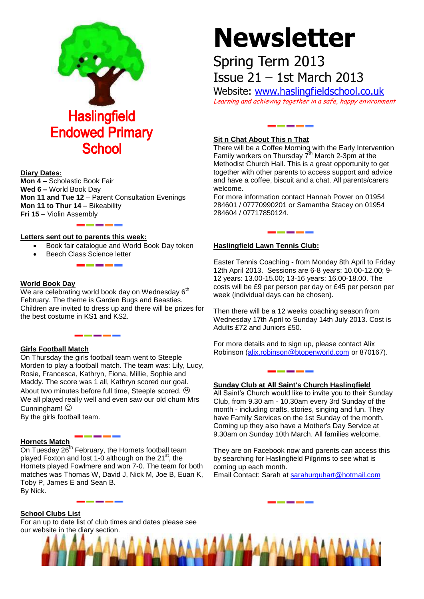

#### **Diary Dates:**

**Mon 4 –** Scholastic Book Fair **Wed 6 –** World Book Day **Mon 11 and Tue 12** – Parent Consultation Evenings **Mon 11 to Thur 14** – Bikeability **Fri 15** – Violin Assembly

#### **Letters sent out to parents this week:**

- Book fair catalogue and World Book Day token
	- Beech Class Science letter

#### **World Book Day**

We are celebrating world book day on Wednesday  $6<sup>th</sup>$ February. The theme is Garden Bugs and Beasties. Children are invited to dress up and there will be prizes for the best costume in KS1 and KS2.

### **Girls Football Match**

On Thursday the girls football team went to Steeple Morden to play a football match. The team was: Lily, Lucy, Rosie, Francesca, Kathryn, Fiona, Millie, Sophie and Maddy. The score was 1 all, Kathryn scored our goal. About two minutes before full time, Steeple scored.  $\odot$ We all played really well and even saw our old chum Mrs Cunningham!  $\odot$ 

By the girls football team.

## **Hornets Match**

On Tuesday  $26<sup>th</sup>$  February, the Hornets football team played Foxton and lost 1-0 although on the  $21<sup>st</sup>$ , the Hornets played Fowlmere and won 7-0. The team for both matches was Thomas W, David J, Nick M, Joe B, Euan K, Toby P, James E and Sean B. By Nick.

# **Newsletter**

# Spring Term 2013 Issue 21 – 1st March 2013

Website: [www.haslingfieldschool.co.uk](http://www.haslingfieldschool.co.uk/) Learning and achieving together in a safe, happy environment

# **Sit n Chat About This n That**

There will be a Coffee Morning with the Early Intervention Family workers on Thursday  $7<sup>th</sup>$  March 2-3pm at the Methodist Church Hall. This is a great opportunity to get together with other parents to access support and advice and have a coffee, biscuit and a chat. All parents/carers welcome.

For more information contact Hannah Power on 01954 284601 / 07770990201 or Samantha Stacey on 01954 284604 / 07717850124.

#### **Haslingfield Lawn Tennis Club:**

Easter Tennis Coaching - from Monday 8th April to Friday 12th April 2013. Sessions are 6-8 years: 10.00-12.00; 9- 12 years: 13.00-15.00; 13-16 years: 16.00-18.00. The costs will be £9 per person per day or £45 per person per week (individual days can be chosen).

Then there will be a 12 weeks coaching season from Wednesday 17th April to Sunday 14th July 2013. Cost is Adults £72 and Juniors £50.

For more details and to sign up, please contact Alix Robinson [\(alix.robinson@btopenworld.com](mailto:alix.robinson@btopenworld.com) or 870167).

#### **Sunday Club at All Saint's Church Haslingfield**

All Saint's Church would like to invite you to their Sunday Club, from 9.30 am - 10.30am every 3rd Sunday of the month - including crafts, stories, singing and fun. They have Family Services on the 1st Sunday of the month. Coming up they also have a Mother's Day Service at 9.30am on Sunday 10th March. All families welcome.

They are on Facebook now and parents can access this by searching for Haslingfield Pilgrims to see what is coming up each month.

Email Contact: Sarah at [sarahurquhart@hotmail.com](mailto:sarahurquhart@hotmail.com)

#### **School Clubs List**

For an up to date list of club times and dates please see our website in the diary section.